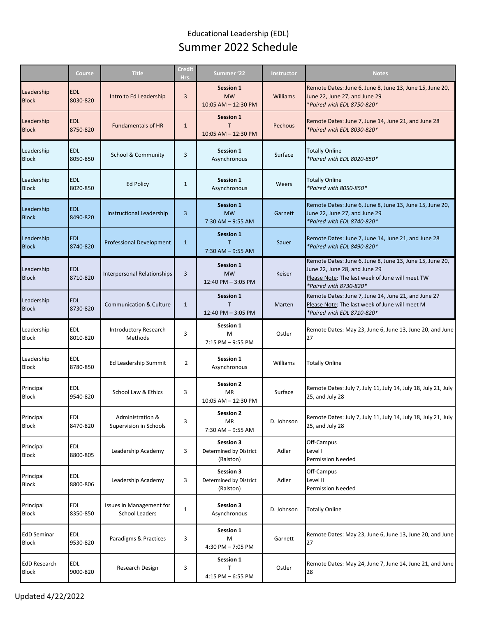## Educational Leadership (EDL) Summer 2022 Schedule

|                                     | Course                 | <b>Title</b>                                      | <b>Credit</b><br>Hrs. | Summer '22                                              | Instructor | <b>Notes</b>                                                                                                                                                           |
|-------------------------------------|------------------------|---------------------------------------------------|-----------------------|---------------------------------------------------------|------------|------------------------------------------------------------------------------------------------------------------------------------------------------------------------|
| Leadership<br><b>Block</b>          | <b>EDL</b><br>8030-820 | Intro to Ed Leadership                            | 3                     | <b>Session 1</b><br><b>MW</b><br>10:05 AM - 12:30 PM    | Williams   | Remote Dates: June 6, June 8, June 13, June 15, June 20,<br>June 22, June 27, and June 29<br>*Paired with EDL 8750-820*                                                |
| Leadership<br><b>Block</b>          | <b>EDL</b><br>8750-820 | <b>Fundamentals of HR</b>                         | $\mathbf{1}$          | Session 1<br>T<br>10:05 AM - 12:30 PM                   | Pechous    | Remote Dates: June 7, June 14, June 21, and June 28<br>*Paired with EDL 8030-820*                                                                                      |
| Leadership<br><b>Block</b>          | <b>EDL</b><br>8050-850 | School & Community                                | 3                     | Session 1<br>Asynchronous                               | Surface    | <b>Totally Online</b><br>*Paired with EDL 8020-850*                                                                                                                    |
| Leadership<br><b>Block</b>          | <b>EDL</b><br>8020-850 | <b>Ed Policy</b>                                  | $\mathbf{1}$          | Session 1<br>Asynchronous                               | Weers      | <b>Totally Online</b><br>*Paired with 8050-850*                                                                                                                        |
| Leadership<br><b>Block</b>          | <b>EDL</b><br>8490-820 | Instructional Leadership                          | 3                     | <b>Session 1</b><br><b>MW</b><br>$7:30$ AM $-9:55$ AM   | Garnett    | Remote Dates: June 6, June 8, June 13, June 15, June 20,<br>June 22, June 27, and June 29<br>*Paired with EDL 8740-820*                                                |
| Leadership<br><b>Block</b>          | <b>EDL</b><br>8740-820 | <b>Professional Development</b>                   | $\mathbf{1}$          | <b>Session 1</b><br>т<br>7:30 AM - 9:55 AM              | Sauer      | Remote Dates: June 7, June 14, June 21, and June 28<br>*Paired with EDL 8490-820*                                                                                      |
| Leadership<br><b>Block</b>          | <b>EDL</b><br>8710-820 | <b>Interpersonal Relationships</b>                | 3                     | Session 1<br><b>MW</b><br>12:40 PM - 3:05 PM            | Keiser     | Remote Dates: June 6, June 8, June 13, June 15, June 20,<br>June 22, June 28, and June 29<br>Please Note: The last week of June will meet TW<br>*Paired with 8730-820* |
| Leadership<br><b>Block</b>          | <b>EDL</b><br>8730-820 | Communication & Culture                           | $\mathbf{1}$          | <b>Session 1</b><br>12:40 PM - 3:05 PM                  | Marten     | Remote Dates: June 7, June 14, June 21, and June 27<br>Please Note: The last week of June will meet M<br>*Paired with EDL 8710-820*                                    |
| Leadership<br><b>Block</b>          | <b>EDL</b><br>8010-820 | Introductory Research<br>Methods                  | 3                     | Session 1<br>M<br>7:15 PM - 9:55 PM                     | Ostler     | Remote Dates: May 23, June 6, June 13, June 20, and June<br>27                                                                                                         |
| Leadership<br><b>Block</b>          | <b>EDL</b><br>8780-850 | Ed Leadership Summit                              | $\overline{2}$        | <b>Session 1</b><br>Asynchronous                        | Williams   | <b>Totally Online</b>                                                                                                                                                  |
| Principal<br><b>Block</b>           | <b>EDL</b><br>9540-820 | School Law & Ethics                               | 3                     | <b>Session 2</b><br>MR<br>10:05 AM - 12:30 PM           | Surface    | Remote Dates: July 7, July 11, July 14, July 18, July 21, July<br>25, and July 28                                                                                      |
| Principal<br><b>Block</b>           | <b>EDL</b><br>8470-820 | Administration &<br>Supervision in Schools        | 3                     | <b>Session 2</b><br>MR<br>7:30 AM - 9:55 AM             | D. Johnson | Remote Dates: July 7, July 11, July 14, July 18, July 21, July<br>25, and July 28                                                                                      |
| Principal<br><b>Block</b>           | <b>EDL</b><br>8800-805 | Leadership Academy                                | 3                     | Session 3<br>Determined by District<br>(Ralston)        | Adler      | Off-Campus<br>Level I<br><b>Permission Needed</b>                                                                                                                      |
| Principal<br><b>Block</b>           | EDL<br>8800-806        | Leadership Academy                                | 3                     | <b>Session 3</b><br>Determined by District<br>(Ralston) | Adler      | Off-Campus<br>Level II<br><b>Permission Needed</b>                                                                                                                     |
| Principal<br><b>Block</b>           | EDL<br>8350-850        | <b>Issues in Management for</b><br>School Leaders | $\mathbf{1}$          | <b>Session 3</b><br>Asynchronous                        | D. Johnson | <b>Totally Online</b>                                                                                                                                                  |
| <b>EdD Seminar</b><br><b>Block</b>  | <b>EDL</b><br>9530-820 | Paradigms & Practices                             | 3                     | Session 1<br>M<br>4:30 PM - 7:05 PM                     | Garnett    | Remote Dates: May 23, June 6, June 13, June 20, and June<br>27                                                                                                         |
| <b>EdD Research</b><br><b>Block</b> | <b>EDL</b><br>9000-820 | Research Design                                   | 3                     | Session 1<br>$\mathsf{T}$<br>4:15 PM - 6:55 PM          | Ostler     | Remote Dates: May 24, June 7, June 14, June 21, and June<br>28                                                                                                         |